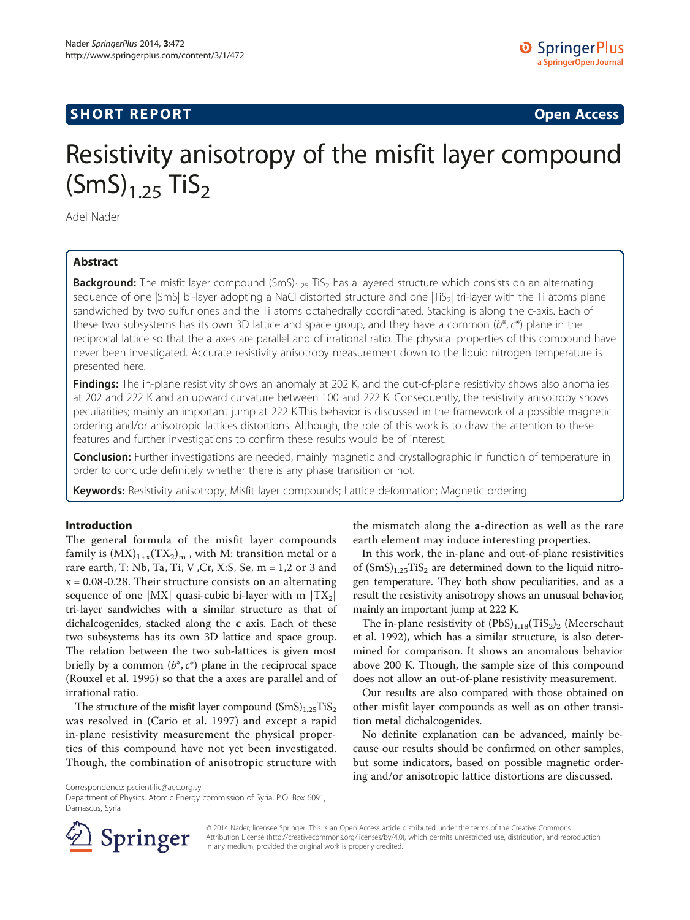## **SHORT REPORT SHORT CONSUMING THE CONSUMING THE CONSUMING THE CONSUMING THE CONSUMING THE CONSUMING THE CONSUMING THE CONSUMING THE CONSUMING THE CONSUMING THE CONSUMING THE CONSUMING THE CONSUMING THE CONSUMING THE CO**

# Resistivity anisotropy of the misfit layer compound  $(SmS)_{1.25}$  TiS<sub>2</sub>

Adel Nader

## Abstract

**Background:** The misfit layer compound  $(SmS)_{1.25}$  TiS<sub>2</sub> has a layered structure which consists on an alternating sequence of one |SmS| bi-layer adopting a NaCl distorted structure and one |TiS<sub>2</sub>| tri-layer with the Ti atoms plane sandwiched by two sulfur ones and the Ti atoms octahedrally coordinated. Stacking is along the c-axis. Each of these two subsystems has its own 3D lattice and space group, and they have a common  $(b^*, c^*)$  plane in the reciprocal lattice so that the a axes are parallel and of irrational ratio. The physical properties of this compound have never been investigated. Accurate resistivity anisotropy measurement down to the liquid nitrogen temperature is presented here.

Findings: The in-plane resistivity shows an anomaly at 202 K, and the out-of-plane resistivity shows also anomalies at 202 and 222 K and an upward curvature between 100 and 222 K. Consequently, the resistivity anisotropy shows peculiarities; mainly an important jump at 222 K.This behavior is discussed in the framework of a possible magnetic ordering and/or anisotropic lattices distortions. Although, the role of this work is to draw the attention to these features and further investigations to confirm these results would be of interest.

Conclusion: Further investigations are needed, mainly magnetic and crystallographic in function of temperature in order to conclude definitely whether there is any phase transition or not.

Keywords: Resistivity anisotropy; Misfit layer compounds; Lattice deformation; Magnetic ordering

#### Introduction

The general formula of the misfit layer compounds family is  $(MX)_{1+x}(TX_2)_m$ , with M: transition metal or a rare earth, T: Nb, Ta, Ti, V ,Cr, X:S, Se, m = 1,2 or 3 and  $x = 0.08 - 0.28$ . Their structure consists on an alternating sequence of one  $|MX|$  quasi-cubic bi-layer with m  $|TX_2|$ tri-layer sandwiches with a similar structure as that of dichalcogenides, stacked along the c axis. Each of these two subsystems has its own 3D lattice and space group. The relation between the two sub-lattices is given most briefly by a common  $(b^*, c^*)$  plane in the reciprocal space (Rouxel et al. [1995](#page-5-0)) so that the a axes are parallel and of irrational ratio.

The structure of the misfit layer compound  $(SmS)_{1.25}TiS_2$ was resolved in (Cario et al. [1997\)](#page-5-0) and except a rapid in-plane resistivity measurement the physical properties of this compound have not yet been investigated. Though, the combination of anisotropic structure with

the mismatch along the a-direction as well as the rare earth element may induce interesting properties.

In this work, the in-plane and out-of-plane resistivities of  $(SmS)_{1.25}TiS_2$  are determined down to the liquid nitrogen temperature. They both show peculiarities, and as a result the resistivity anisotropy shows an unusual behavior, mainly an important jump at 222 K.

The in-plane resistivity of  $(PbS)_{1.18}(TiS_2)_2$  (Meerschaut et al. [1992](#page-5-0)), which has a similar structure, is also determined for comparison. It shows an anomalous behavior above 200 K. Though, the sample size of this compound does not allow an out-of-plane resistivity measurement.

Our results are also compared with those obtained on other misfit layer compounds as well as on other transition metal dichalcogenides.

No definite explanation can be advanced, mainly because our results should be confirmed on other samples, but some indicators, based on possible magnetic ordering and/or anisotropic lattice distortions are discussed.

Correspondence: [pscientific@aec.org.sy](mailto:pscientific@aec.org.sy)

Department of Physics, Atomic Energy commission of Syria, P.O. Box 6091, Damascus, Syria



© 2014 Nader; licensee Springer. This is an Open Access article distributed under the terms of the Creative Commons Attribution License [\(http://creativecommons.org/licenses/by/4.0\)](http://creativecommons.org/licenses/by/4.0), which permits unrestricted use, distribution, and reproduction in any medium, provided the original work is properly credited.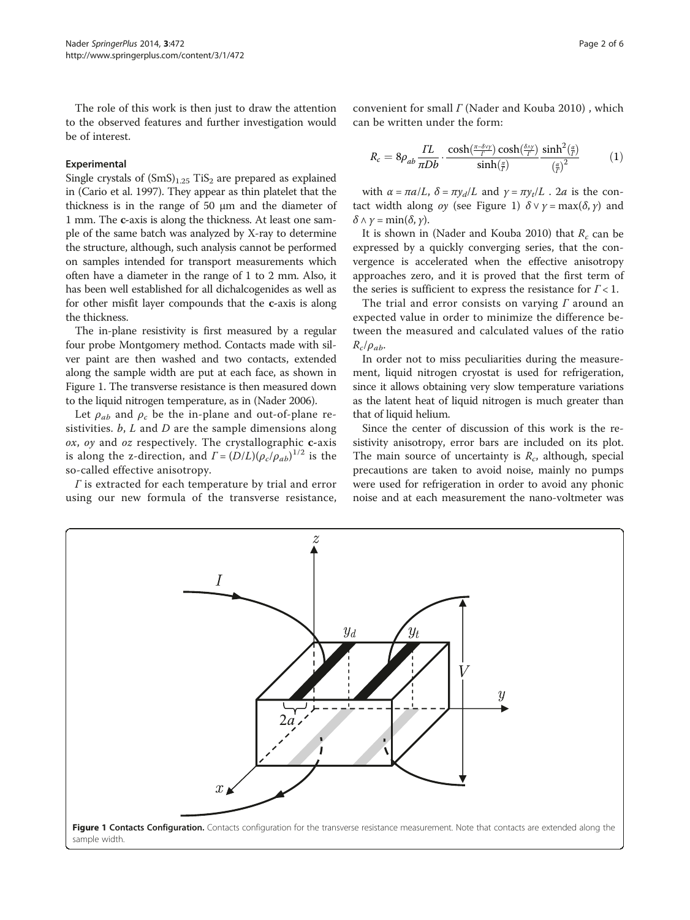The role of this work is then just to draw the attention to the observed features and further investigation would be of interest.

#### Experimental

Single crystals of  $(SmS)_{1.25}$  TiS<sub>2</sub> are prepared as explained in (Cario et al. [1997\)](#page-5-0). They appear as thin platelet that the thickness is in the range of 50 μm and the diameter of 1 mm. The c-axis is along the thickness. At least one sample of the same batch was analyzed by X-ray to determine the structure, although, such analysis cannot be performed on samples intended for transport measurements which often have a diameter in the range of 1 to 2 mm. Also, it has been well established for all dichalcogenides as well as for other misfit layer compounds that the c-axis is along the thickness.

The in-plane resistivity is first measured by a regular four probe Montgomery method. Contacts made with silver paint are then washed and two contacts, extended along the sample width are put at each face, as shown in Figure 1. The transverse resistance is then measured down to the liquid nitrogen temperature, as in (Nader [2006\)](#page-5-0).

Let  $\rho_{ab}$  and  $\rho_c$  be the in-plane and out-of-plane resistivities.  $b$ ,  $L$  and  $D$  are the sample dimensions along  $ox$ ,  $oy$  and  $oz$  respectively. The crystallographic  $c$ -axis is along the z-direction, and  $\Gamma = (D/L)(\rho_c/\rho_{ab})^{1/2}$  is the so-called effective anisotropy.

 $\Gamma$  is extracted for each temperature by trial and error using our new formula of the transverse resistance,

convenient for small Γ (Nader and Kouba [2010](#page-5-0)) , which can be written under the form:

$$
R_c = 8\rho_{ab} \frac{\Gamma L}{\pi D b} \cdot \frac{\cosh(\frac{\pi - \delta \vee \gamma}{\Gamma}) \cosh(\frac{\delta \wedge \gamma}{\Gamma})}{\sinh(\frac{\pi}{\Gamma})} \frac{\sinh^2(\frac{\alpha}{\Gamma})}{(\frac{\alpha}{\Gamma})^2} \tag{1}
$$

with  $\alpha = \pi a/L$ ,  $\delta = \pi y_d/L$  and  $\gamma = \pi y_t/L$ . 2*a* is the contact width along *oy* (see Figure 1)  $\delta \vee \gamma = \max(\delta, \gamma)$  and  $\delta$   $\wedge$   $\gamma$  = min( $\delta$ ,  $\gamma$ ).

It is shown in (Nader and Kouba [2010](#page-5-0)) that  $R_c$  can be expressed by a quickly converging series, that the convergence is accelerated when the effective anisotropy approaches zero, and it is proved that the first term of the series is sufficient to express the resistance for  $\Gamma$  < 1.

The trial and error consists on varying  $\Gamma$  around an expected value in order to minimize the difference between the measured and calculated values of the ratio  $R_c/\rho_{ab}$ .

In order not to miss peculiarities during the measurement, liquid nitrogen cryostat is used for refrigeration, since it allows obtaining very slow temperature variations as the latent heat of liquid nitrogen is much greater than that of liquid helium.

Since the center of discussion of this work is the resistivity anisotropy, error bars are included on its plot. The main source of uncertainty is  $R_c$ , although, special precautions are taken to avoid noise, mainly no pumps were used for refrigeration in order to avoid any phonic noise and at each measurement the nano-voltmeter was

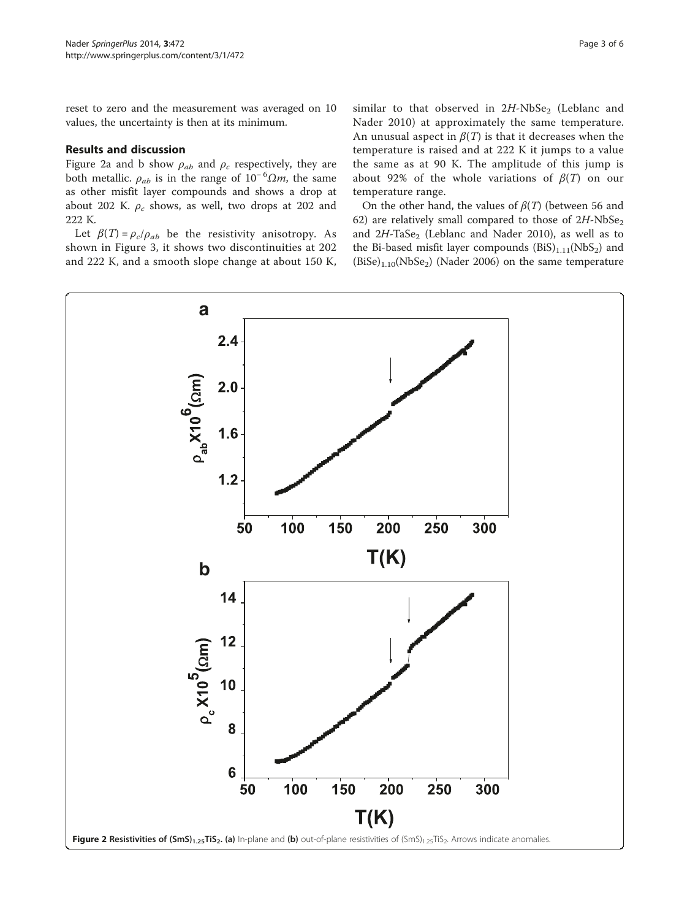reset to zero and the measurement was averaged on 10 values, the uncertainty is then at its minimum.

#### Results and discussion

Figure 2a and b show  $\rho_{ab}$  and  $\rho_c$  respectively, they are both metallic.  $\rho_{ab}$  is in the range of 10<sup>-6</sup> $\Omega$ *m*, the same as other misfit layer compounds and shows a drop at about 202 K.  $\rho_c$  shows, as well, two drops at 202 and 222 K.

Let  $\beta(T) = \rho_c/\rho_{ab}$  be the resistivity anisotropy. As shown in Figure [3,](#page-3-0) it shows two discontinuities at 202 and 222 K, and a smooth slope change at about 150 K, similar to that observed in  $2H\text{-}NbSe_2$  (Leblanc and Nader [2010\)](#page-5-0) at approximately the same temperature. An unusual aspect in  $\beta(T)$  is that it decreases when the temperature is raised and at 222 K it jumps to a value the same as at 90 K. The amplitude of this jump is about 92% of the whole variations of  $\beta(T)$  on our temperature range.

On the other hand, the values of  $\beta(T)$  (between 56 and 62) are relatively small compared to those of  $2H\text{-}NbSe_2$ and  $2H$ -TaSe<sub>2</sub> (Leblanc and Nader [2010\)](#page-5-0), as well as to the Bi-based misfit layer compounds  $(BiS)_{1,11}(NbS_2)$  and  $(BiSe)_{1,10}(NbSe_2)$  (Nader [2006](#page-5-0)) on the same temperature

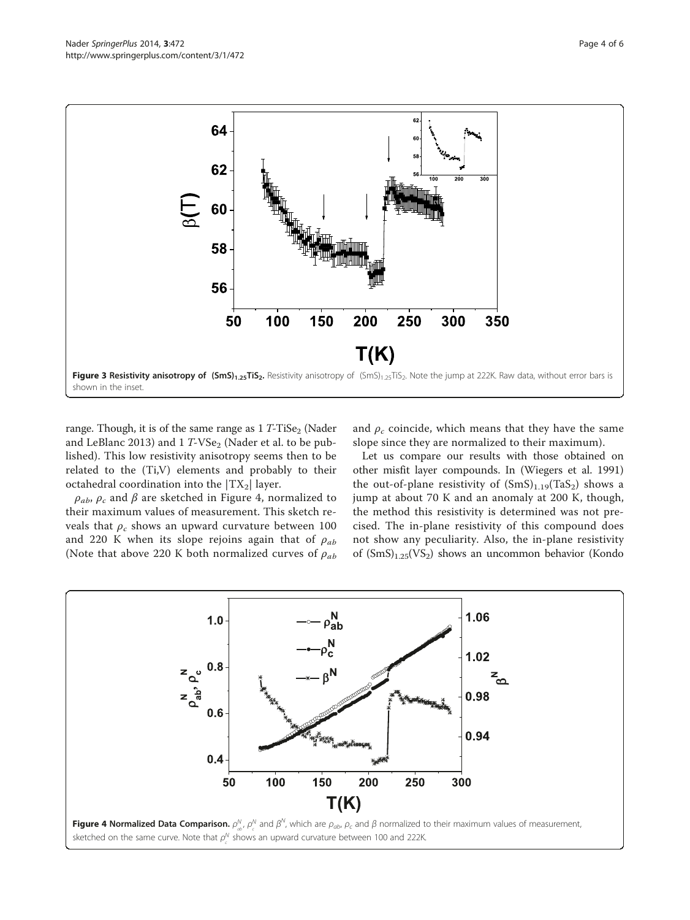<span id="page-3-0"></span>

range. Though, it is of the same range as  $1 T$ -TiSe<sub>2</sub> (Nader and LeBlanc [2013\)](#page-5-0) and  $1 T$ -VS $e_2$  (Nader et al. to be published). This low resistivity anisotropy seems then to be related to the (Ti,V) elements and probably to their octahedral coordination into the  $|TX_2|$  layer.

 $\rho_{ab}$ ,  $\rho_c$  and  $\beta$  are sketched in Figure 4, normalized to their maximum values of measurement. This sketch reveals that  $\rho_c$  shows an upward curvature between 100 and 220 K when its slope rejoins again that of  $\rho_{ab}$ (Note that above 220 K both normalized curves of  $\rho_{ab}$ 

and  $\rho_c$  coincide, which means that they have the same slope since they are normalized to their maximum).

Let us compare our results with those obtained on other misfit layer compounds. In (Wiegers et al. [1991](#page-5-0)) the out-of-plane resistivity of  $(SmS)_{1,19}(TaS_2)$  shows a jump at about 70 K and an anomaly at 200 K, though, the method this resistivity is determined was not precised. The in-plane resistivity of this compound does not show any peculiarity. Also, the in-plane resistivity of  $(SmS)_{1.25}(VS_2)$  shows an uncommon behavior (Kondo

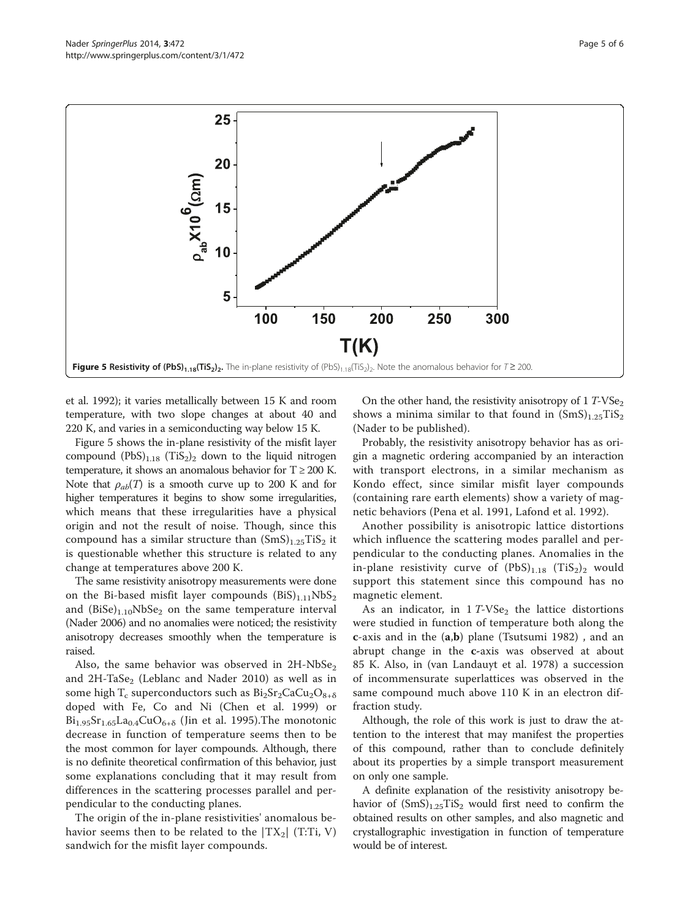

et al. [1992\)](#page-5-0); it varies metallically between 15 K and room temperature, with two slope changes at about 40 and 220 K, and varies in a semiconducting way below 15 K.

Figure 5 shows the in-plane resistivity of the misfit layer compound  $(PbS)_{1,18}$  (TiS<sub>2</sub>)<sub>2</sub> down to the liquid nitrogen temperature, it shows an anomalous behavior for  $T \ge 200$  K. Note that  $\rho_{ab}(T)$  is a smooth curve up to 200 K and for higher temperatures it begins to show some irregularities, which means that these irregularities have a physical origin and not the result of noise. Though, since this compound has a similar structure than  $(SmS)_{1.25}TiS_2$  it is questionable whether this structure is related to any change at temperatures above 200 K.

The same resistivity anisotropy measurements were done on the Bi-based misfit layer compounds  $(BiS)_{1,11}NbS_2$ and  $(BiSe)_{1,10}NbSe_2$  on the same temperature interval (Nader [2006\)](#page-5-0) and no anomalies were noticed; the resistivity anisotropy decreases smoothly when the temperature is raised.

Also, the same behavior was observed in  $2H\text{-}NbSe_2$ and  $2H$ -TaSe<sub>2</sub> (Leblanc and Nader [2010\)](#page-5-0) as well as in some high  $T_c$  superconductors such as  $Bi_2Sr_2CaCu_2O_{8+\delta}$ doped with Fe, Co and Ni (Chen et al. [1999\)](#page-5-0) or  $Bi_{1.95}Sr_{1.65}La_{0.4}CuO_{6+\delta}$  (Jin et al. [1995](#page-5-0)). The monotonic decrease in function of temperature seems then to be the most common for layer compounds. Although, there is no definite theoretical confirmation of this behavior, just some explanations concluding that it may result from differences in the scattering processes parallel and perpendicular to the conducting planes.

The origin of the in-plane resistivities' anomalous behavior seems then to be related to the  $|TX_2|$  (T:Ti, V) sandwich for the misfit layer compounds.

On the other hand, the resistivity anisotropy of  $1 T$ -VS $e_2$ shows a minima similar to that found in  $(SmS)_{1.25}TiS_2$ (Nader to be published).

Probably, the resistivity anisotropy behavior has as origin a magnetic ordering accompanied by an interaction with transport electrons, in a similar mechanism as Kondo effect, since similar misfit layer compounds (containing rare earth elements) show a variety of magnetic behaviors (Pena et al. [1991](#page-5-0), Lafond et al. [1992](#page-5-0)).

Another possibility is anisotropic lattice distortions which influence the scattering modes parallel and perpendicular to the conducting planes. Anomalies in the in-plane resistivity curve of  $(PbS)_{1.18}$  (TiS<sub>2</sub>)<sub>2</sub> would support this statement since this compound has no magnetic element.

As an indicator, in  $1 T$ -VSe<sub>2</sub> the lattice distortions were studied in function of temperature both along the c-axis and in the (a,b) plane (Tsutsumi [1982](#page-5-0)) , and an abrupt change in the c-axis was observed at about 85 K. Also, in (van Landauyt et al. [1978\)](#page-5-0) a succession of incommensurate superlattices was observed in the same compound much above 110 K in an electron diffraction study.

Although, the role of this work is just to draw the attention to the interest that may manifest the properties of this compound, rather than to conclude definitely about its properties by a simple transport measurement on only one sample.

A definite explanation of the resistivity anisotropy behavior of  $(SmS)_{1.25}TiS_2$  would first need to confirm the obtained results on other samples, and also magnetic and crystallographic investigation in function of temperature would be of interest.